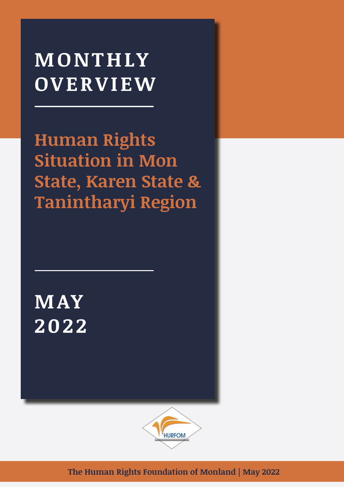# **MONTHLY OVERVIEW**

**Human Rights Situation in Mon State, Karen State & Tanintharyi Region**

**MAY 2022**



**The Human Rights Foundation of Monland | May 2022**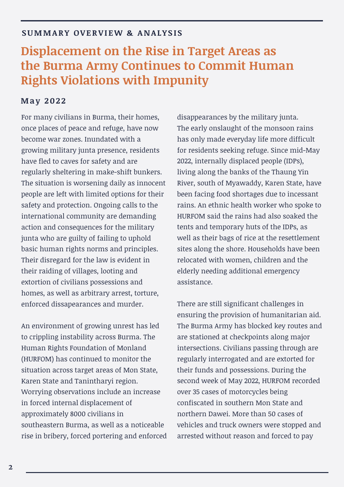### **SUMMARY OVERVIEW & ANALYSIS**

### **Displacement on the Rise in Target Areas as the Burma Army Continues to Commit Human Rights Violations with Impunity**

### **May 2022**

For many civilians in Burma, their homes, once places of peace and refuge, have now become war zones. Inundated with a growing military junta presence, residents have fled to caves for safety and are regularly sheltering in make-shift bunkers. The situation is worsening daily as innocent people are left with limited options for their safety and protection. Ongoing calls to the international community are demanding action and consequences for the military junta who are guilty of failing to uphold basic human rights norms and principles. Their disregard for the law is evident in their raiding of villages, looting and extortion of civilians possessions and homes, as well as arbitrary arrest, torture, enforced dissapearances and murder.

An environment of growing unrest has led to crippling instability across Burma. The Human Rights Foundation of Monland (HURFOM) has continued to monitor the situation across target areas of Mon State, Karen State and Tanintharyi region. Worrying observations include an increase in forced internal displacement of approximately 8000 civilians in southeastern Burma, as well as a noticeable rise in bribery, forced portering and enforced

disappearances by the military junta. The early onslaught of the monsoon rains has only made everyday life more difficult for residents seeking refuge. Since mid-May 2022, internally displaced people (IDPs), living along the banks of the Thaung Yin River, south of Myawaddy, Karen State, have been facing food shortages due to incessant rains. An ethnic health worker who spoke to HURFOM said the rains had also soaked the tents and temporary huts of the IDPs, as well as their bags of rice at the resettlement sites along the shore. Households have been relocated with women, children and the elderly needing additional emergency assistance.

There are still significant challenges in ensuring the provision of humanitarian aid. The Burma Army has blocked key routes and are stationed at checkpoints along major intersections. Civilians passing through are regularly interrogated and are extorted for their funds and possessions. During the second week of May 2022, HURFOM recorded over 35 cases of motorcycles being confiscated in southern Mon State and northern Dawei. More than 50 cases of vehicles and truck owners were stopped and arrested without reason and forced to pay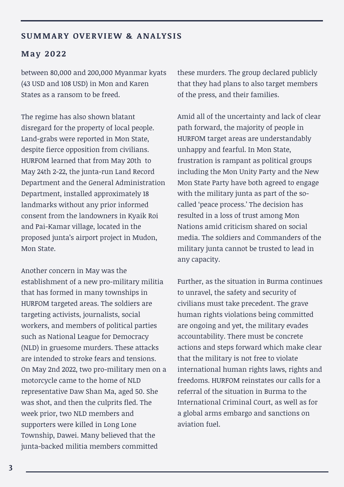### SUMMARY OVERVIEW & ANALYSIS

#### **May 2022**

between 80,000 and 200,000 Myanmar kyats (43 USD and 108 USD) in Mon and Karen States as a ransom to be freed.

The regime has also shown blatant disregard for the property of local people. Land-grabs were reported in Mon State, despite fierce opposition from civilians. HURFOM learned that from May 20th to May 24th 2-22, the junta-run Land Record Department and the General Administration Department, installed approximately 18 landmarks without any prior informed consent from the landowners in Kyaik Roi and Pai-Kamar village, located in the proposed junta's airport project in Mudon, Mon State.

Another concern in May was the establishment of a new pro-military militia that has formed in many townships in HURFOM targeted areas. The soldiers are targeting activists, journalists, social workers, and members of political parties such as National League for Democracy (NLD) in gruesome murders. These attacks are intended to stroke fears and tensions. On May 2nd 2022, two pro-military men on a motorcycle came to the home of NLD representative Daw Shan Ma, aged 50. She was shot, and then the culprits fled. The week prior, two NLD members and supporters were killed in Long Lone Township, Dawei. Many believed that the junta-backed militia members committed

these murders. The group declared publicly that they had plans to also target members of the press, and their families.

Amid all of the uncertainty and lack of clear path forward, the majority of people in HURFOM target areas are understandably unhappy and fearful. In Mon State, frustration is rampant as political groups including the Mon Unity Party and the New Mon State Party have both agreed to engage with the military junta as part of the socalled 'peace process.' The decision has resulted in a loss of trust among Mon Nations amid criticism shared on social media. The soldiers and Commanders of the military junta cannot be trusted to lead in any capacity.

Further, as the situation in Burma continues to unravel, the safety and security of civilians must take precedent. The grave human rights violations being committed are ongoing and yet, the military evades accountability. There must be concrete actions and steps forward which make clear that the military is not free to violate international human rights laws, rights and freedoms. HURFOM reinstates our calls for a referral of the situation in Burma to the International Criminal Court, as well as for a global arms embargo and sanctions on aviation fuel.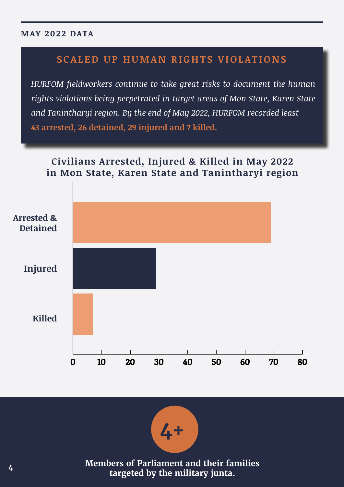### **MAY 2022 DATA**

### **SCALED UP HUMAN RIGHTS VIOLATIONS**

*HURFOM fieldworkers continue to take great risks to document the human rights violations being perpetrated in target areas of Mon State, Karen State and Tanintharyi region. By the end of May 2022, HURFOM recorded least*  **43 arrested, 26 detained, 29 injured and 7 killed.**





**Members of Parliament and their families targeted by the military junta.**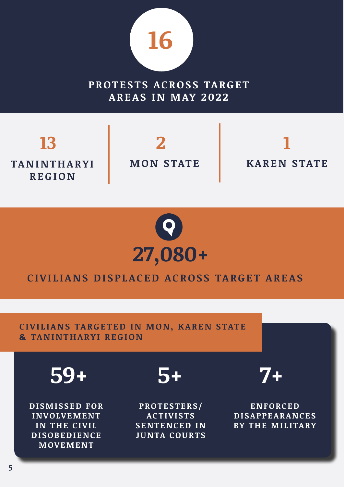

PROTESTS ACROSS TARGET **AREAS IN MAY 2022**

**TA N I N T H A R Y I REGION 13 2 1**

**MON STATE**

**KAREN STATE**



### **CIVILIANS DISPLACED ACROSS TARGET AREAS**

**CIVILIANS TARGETED IN MON, KAREN STATE & TANINTHARYI REGION**

**59+ 5+ 7+**

**D I S M I S S E D FO R I N V O LV E M E N T IN THE CIVIL D I S O B E D I E N C E MOVEMENT**

**PROTESTERS/ A C T I V I S T S SENTENCED IN JUNTA COURTS**

**E N FO RC E D D I S A P P E A R A N C E S BY THE MILITARY**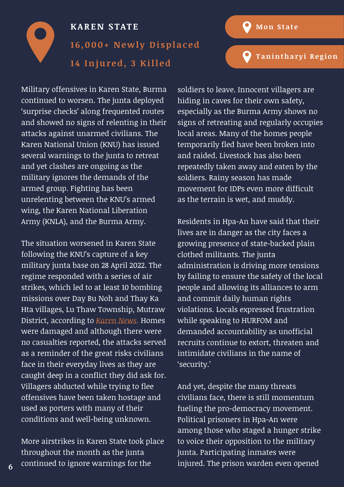**[Tanintharyi Region](#page-10-0)**

<span id="page-5-0"></span>

Military offensives in Karen State, Burma continued to worsen. The junta deployed 'surprise checks' along frequented routes and showed no signs of relenting in their attacks against unarmed civilians. The Karen National Union (KNU) has issued several warnings to the junta to retreat and yet clashes are ongoing as the military ignores the demands of the armed group. Fighting has been unrelenting between the KNU's armed wing, the Karen National Liberation Army (KNLA), and the Burma Army.

The situation worsened in Karen State following the KNU's capture of a key military junta base on 28 April 2022. The regime responded with a series of air strikes, which led to at least 10 bombing missions over Day Bu Noh and Thay Ka Hta villages, Lu Thaw Township, Mutraw District, according to *[Karen News](https://karennews.org/2022/05/military-council-responds-to-loss-of-its-army-base-with-multiple-airstrikes/).* Homes were damaged and although there were no casualties reported, the attacks served as a reminder of the great risks civilians face in their everyday lives as they are caught deep in a conflict they did ask for. Villagers abducted while trying to flee offensives have been taken hostage and used as porters with many of their conditions and well-being unknown.

More airstrikes in Karen State took place throughout the month as the junta continued to ignore warnings for the

**6**

soldiers to leave. Innocent villagers are hiding in caves for their own safety, especially as the Burma Army shows no signs of retreating and regularly occupies local areas. Many of the homes people temporarily fled have been broken into and raided. Livestock has also been repeatedly taken away and eaten by the soldiers. Rainy season has made movement for IDPs even more difficult as the terrain is wet, and muddy.

Residents in Hpa-An have said that their lives are in danger as the city faces a growing presence of state-backed plain clothed militants. The junta administration is driving more tensions by failing to ensure the safety of the local people and allowing its alliances to arm and commit daily human rights violations. Locals expressed frustration while speaking to HURFOM and demanded accountability as unofficial recruits continue to extort, threaten and intimidate civilians in the name of 'security.'

And yet, despite the many threats civilians face, there is still momentum fueling the pro-democracy movement. Political prisoners in Hpa-An were among those who staged a hunger strike to voice their opposition to the military junta. Participating inmates were injured. The prison warden even opened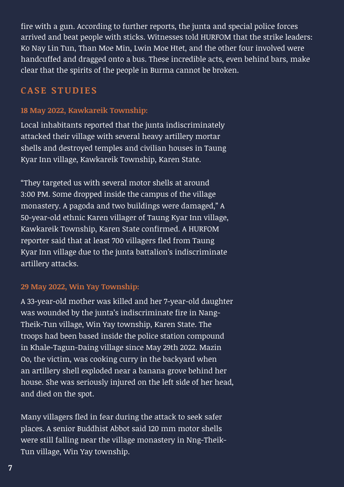fire with a gun. According to further reports, the junta and special police forces arrived and beat people with sticks. Witnesses told HURFOM that the strike leaders: Ko Nay Lin Tun, Than Moe Min, Lwin Moe Htet, and the other four involved were handcuffed and dragged onto a bus. These incredible acts, even behind bars, make clear that the spirits of the people in Burma cannot be broken.

### **CASE STUDIES**

### **18 May 2022, Kawkareik Township:**

Local inhabitants reported that the junta indiscriminately attacked their village with several heavy artillery mortar shells and destroyed temples and civilian houses in Taung Kyar Inn village, Kawkareik Township, Karen State.

"They targeted us with several motor shells at around 3:00 PM. Some dropped inside the campus of the village monastery. A pagoda and two buildings were damaged," A 50-year-old ethnic Karen villager of Taung Kyar Inn village, Kawkareik Township, Karen State confirmed. A HURFOM reporter said that at least 700 villagers fled from Taung Kyar Inn village due to the junta battalion's indiscriminate artillery attacks.

### **29 May 2022, Win Yay Township:**

A 33-year-old mother was killed and her 7-year-old daughter was wounded by the junta's indiscriminate fire in Nang-Theik-Tun village, Win Yay township, Karen State. The troops had been based inside the police station compound in Khale-Tagun-Daing village since May 29th 2022. Mazin Oo, the victim, was cooking curry in the backyard when an artillery shell exploded near a banana grove behind her house. She was seriously injured on the left side of her head, and died on the spot.

Many villagers fled in fear during the attack to seek safer places. A senior Buddhist Abbot said 120 mm motor shells were still falling near the village monastery in Nng-Theik-Tun village, Win Yay township.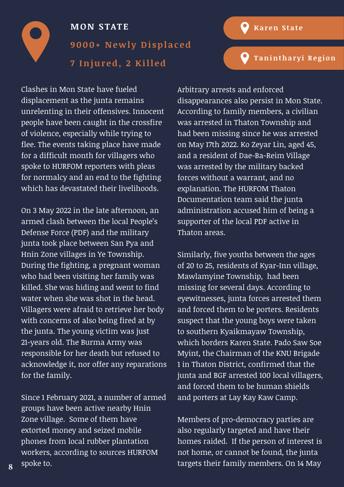

**[Tanintharyi Region](#page-10-0)**

### <span id="page-7-0"></span>**MON STATE 9000+ Newly Displaced 7 Injured, 2 Killed**

Clashes in Mon State have fueled displacement as the junta remains unrelenting in their offensives. Innocent people have been caught in the crossfire of violence, especially while trying to flee. The events taking place have made for a difficult month for villagers who spoke to HURFOM reporters with pleas for normalcy and an end to the fighting which has devastated their livelihoods.

On 3 May 2022 in the late afternoon, an armed clash between the local People's Defense Force (PDF) and the military junta took place between San Pya and Hnin Zone villages in Ye Township. During the fighting, a pregnant woman who had been visiting her family was killed. She was hiding and went to find water when she was shot in the head. Villagers were afraid to retrieve her body with concerns of also being fired at by the junta. The young victim was just 21-years old. The Burma Army was responsible for her death but refused to acknowledge it, nor offer any reparations for the family.

Since 1 February 2021, a number of armed groups have been active nearby Hnin Zone village. Some of them have extorted money and seized mobile phones from local rubber plantation workers, according to sources HURFOM spoke to.

Arbitrary arrests and enforced disappearances also persist in Mon State. According to family members, a civilian was arrested in Thaton Township and had been missing since he was arrested on May 17th 2022. Ko Zeyar Lin, aged 45, and a resident of Dae-Ba-Reim Village was arrested by the military backed forces without a warrant, and no explanation. The HURFOM Thaton Documentation team said the junta administration accused him of being a supporter of the local PDF active in Thaton areas.

Similarly, five youths between the ages of 20 to 25, residents of Kyar-Inn village, Mawlamyine Township, had been missing for several days. According to eyewitnesses, junta forces arrested them and forced them to be porters. Residents suspect that the young boys were taken to southern Kyaikmayaw Township, which borders Karen State. Pado Saw Soe Myint, the Chairman of the KNU Brigade 1 in Thaton District, confirmed that the junta and BGF arrested 100 local villagers, and forced them to be human shields and porters at Lay Kay Kaw Camp.

Members of pro-democracy parties are also regularly targeted and have their homes raided. If the person of interest is not home, or cannot be found, the junta targets their family members. On 14 May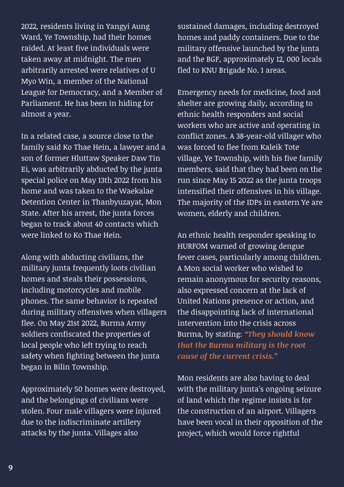2022, residents living in Yangyi Aung Ward, Ye Township, had their homes raided. At least five individuals were taken away at midnight. The men arbitrarily arrested were relatives of U Myo Win, a member of the National League for Democracy, and a Member of Parliament. He has been in hiding for almost a year.

In a related case, a source close to the family said Ko Thae Hein, a lawyer and a son of former Hluttaw Speaker Daw Tin Ei, was arbitrarily abducted by the junta special police on May 13th 2022 from his home and was taken to the Waekalae Detention Center in Thanbyuzayat, Mon State. After his arrest, the junta forces began to track about 40 contacts which were linked to Ko Thae Hein.

Along with abducting civilians, the military junta frequently loots civilian homes and steals their possessions, including motorcycles and mobile phones. The same behavior is repeated during military offensives when villagers flee. On May 21st 2022, Burma Army soldiers confiscated the properties of local people who left trying to reach safety when fighting between the junta began in Bilin Township.

Approximately 50 homes were destroyed, and the belongings of civilians were stolen. Four male villagers were injured due to the indiscriminate artillery attacks by the junta. Villages also

sustained damages, including destroyed homes and paddy containers. Due to the military offensive launched by the junta and the BGF, approximately 12, 000 locals fled to KNU Brigade No. 1 areas.

Emergency needs for medicine, food and shelter are growing daily, according to ethnic health responders and social workers who are active and operating in conflict zones. A 38-year-old villager who was forced to flee from Kaleik Tote village, Ye Township, with his five family members, said that they had been on the run since May 15 2022 as the junta troops intensified their offensives in his village. The majority of the IDPs in eastern Ye are women, elderly and children.

An ethnic health responder speaking to HURFOM warned of growing dengue fever cases, particularly among children. A Mon social worker who wished to remain anonymous for security reasons, also expressed concern at the lack of United Nations presence or action, and the disappointing lack of international intervention into the crisis across Burma, by stating: *"They should know that the Burma military is the root cause of the current crisis."*

Mon residents are also having to deal with the military junta's ongoing seizure of land which the regime insists is for the construction of an airport. Villagers have been vocal in their opposition of the project, which would force rightful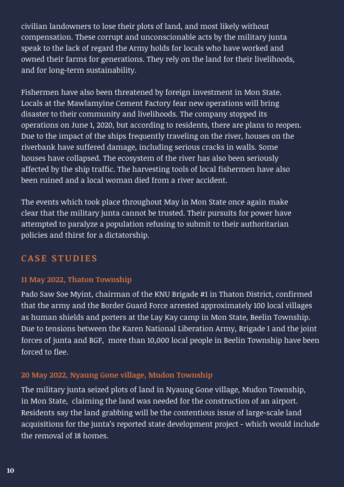civilian landowners to lose their plots of land, and most likely without compensation. These corrupt and unconscionable acts by the military junta speak to the lack of regard the Army holds for locals who have worked and owned their farms for generations. They rely on the land for their livelihoods, and for long-term sustainability.

Fishermen have also been threatened by foreign investment in Mon State. Locals at the Mawlamyine Cement Factory fear new operations will bring disaster to their community and livelihoods. The company stopped its operations on June 1, 2020, but according to residents, there are plans to reopen. Due to the impact of the ships frequently traveling on the river, houses on the riverbank have suffered damage, including serious cracks in walls. Some houses have collapsed. The ecosystem of the river has also been seriously affected by the ship traffic. The harvesting tools of local fishermen have also been ruined and a local woman died from a river accident.

The events which took place throughout May in Mon State once again make clear that the military junta cannot be trusted. Their pursuits for power have attempted to paralyze a population refusing to submit to their authoritarian policies and thirst for a dictatorship.

### **CASE STUDIES**

### **11 May 2022, Thaton Township**

Pado Saw Soe Myint, chairman of the KNU Brigade #1 in Thaton District, confirmed that the army and the Border Guard Force arrested approximately 100 local villages as human shields and porters at the Lay Kay camp in Mon State, Beelin Township. Due to tensions between the Karen National Liberation Army, Brigade 1 and the joint forces of junta and BGF, more than 10,000 local people in Beelin Township have been forced to flee.

### **20 May 2022, Nyaung Gone village, Mudon Township**

The military junta seized plots of land in Nyaung Gone village, Mudon Township, in Mon State, claiming the land was needed for the construction of an airport. Residents say the land grabbing will be the contentious issue of large-scale land acquisitions for the junta's reported state development project - which would include the removal of 18 homes.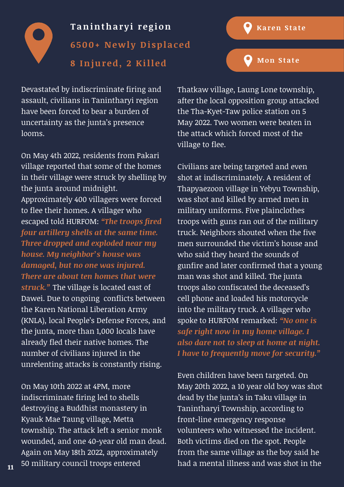<span id="page-10-0"></span>

Devastated by indiscriminate firing and assault, civilians in Tanintharyi region have been forced to bear a burden of uncertainty as the junta's presence looms.

On May 4th 2022, residents from Pakari village reported that some of the homes in their village were struck by shelling by the junta around midnight. Approximately 400 villagers were forced to flee their homes. A villager who escaped told HURFOM: *"The troops fired four artillery shells at the same time. Three dropped and exploded near my house. My neighbor's house was damaged, but no one was injured. There are about ten homes that were struck."* The village is located east of Dawei. Due to ongoing conflicts between the Karen National Liberation Army (KNLA), local People's Defense Forces, and the junta, more than 1,000 locals have already fled their native homes. The number of civilians injured in the unrelenting attacks is constantly rising.

On May 10th 2022 at 4PM, more indiscriminate firing led to shells destroying a Buddhist monastery in Kyauk Mae Taung village, Metta township. The attack left a senior monk wounded, and one 40-year old man dead. Again on May 18th 2022, approximately 50 military council troops entered <sub>11</sub> 50 military council troops entered had a mental illness and was shot in the

Thatkaw village, Laung Lone township, after the local opposition group attacked the Tha-Kyet-Taw police station on 5 May 2022. Two women were beaten in the attack which forced most of the village to flee.

 $\mathbf{\Omega}$ 

**[Karen State](#page-5-0)**

**[Mon State](#page-7-0)**

Civilians are being targeted and even shot at indiscriminately. A resident of Thapyaezoon village in Yebyu Township, was shot and killed by armed men in military uniforms. Five plainclothes troops with guns ran out of the military truck. Neighbors shouted when the five men surrounded the victim's house and who said they heard the sounds of gunfire and later confirmed that a young man was shot and killed. The junta troops also confiscated the deceased's cell phone and loaded his motorcycle into the military truck. A villager who spoke to HURFOM remarked: *"No one is safe right now in my home village. I also dare not to sleep at home at night. I have to frequently move for security."* 

Even children have been targeted. On May 20th 2022, a 10 year old boy was shot dead by the junta's in Taku village in Tanintharyi Township, according to front-line emergency response volunteers who witnessed the incident. Both victims died on the spot. People from the same village as the boy said he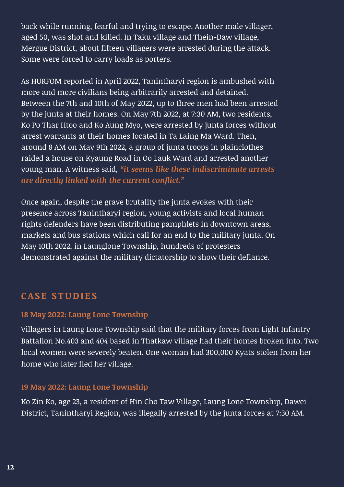back while running, fearful and trying to escape. Another male villager, aged 50, was shot and killed. In Taku village and Thein-Daw village, Mergue District, about fifteen villagers were arrested during the attack. Some were forced to carry loads as porters.

As HURFOM reported in April 2022, Tanintharyi region is ambushed with more and more civilians being arbitrarily arrested and detained. Between the 7th and 10th of May 2022, up to three men had been arrested by the junta at their homes. On May 7th 2022, at 7:30 AM, two residents, Ko Po Thar Htoo and Ko Aung Myo, were arrested by junta forces without arrest warrants at their homes located in Ta Laing Ma Ward. Then, around 8 AM on May 9th 2022, a group of junta troops in plainclothes raided a house on Kyaung Road in Oo Lauk Ward and arrested another young man. A witness said, *"it seems like these indiscriminate arrests are directly linked with the current conflict."* 

Once again, despite the grave brutality the junta evokes with their presence across Tanintharyi region, young activists and local human rights defenders have been distributing pamphlets in downtown areas, markets and bus stations which call for an end to the military junta. On May 10th 2022, in Launglone Township, hundreds of protesters demonstrated against the military dictatorship to show their defiance.

### **CASE STUDIES**

### **18 May 2022: Laung Lone Township**

Villagers in Laung Lone Township said that the military forces from Light Infantry Battalion No.403 and 404 based in Thatkaw village had their homes broken into. Two local women were severely beaten. One woman had 300,000 Kyats stolen from her home who later fled her village.

### **19 May 2022: Laung Lone Township**

Ko Zin Ko, age 23, a resident of Hin Cho Taw Village, Laung Lone Township, Dawei District, Tanintharyi Region, was illegally arrested by the junta forces at 7:30 AM.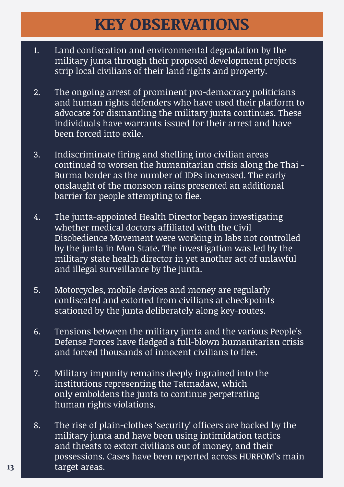# **KEY OBSERVATIONS**

- 1. Land confiscation and environmental degradation by the military junta through their proposed development projects strip local civilians of their land rights and property.
- 2. The ongoing arrest of prominent pro-democracy politicians and human rights defenders who have used their platform to advocate for dismantling the military junta continues. These individuals have warrants issued for their arrest and have been forced into exile.
- 3. Indiscriminate firing and shelling into civilian areas continued to worsen the humanitarian crisis along the Thai - Burma border as the number of IDPs increased. The early onslaught of the monsoon rains presented an additional barrier for people attempting to flee.
- 4. The junta-appointed Health Director began investigating whether medical doctors affiliated with the Civil Disobedience Movement were working in labs not controlled by the junta in Mon State. The investigation was led by the military state health director in yet another act of unlawful and illegal surveillance by the junta.
- 5. Motorcycles, mobile devices and money are regularly confiscated and extorted from civilians at checkpoints stationed by the junta deliberately along key-routes.
- 6. Tensions between the military junta and the various People's Defense Forces have fledged a full-blown humanitarian crisis and forced thousands of innocent civilians to flee.
- 7. Military impunity remains deeply ingrained into the institutions representing the Tatmadaw, which only emboldens the junta to continue perpetrating human rights violations.
- 8. The rise of plain-clothes 'security' officers are backed by the military junta and have been using intimidation tactics and threats to extort civilians out of money, and their possessions. Cases have been reported across HURFOM's main **13** target areas.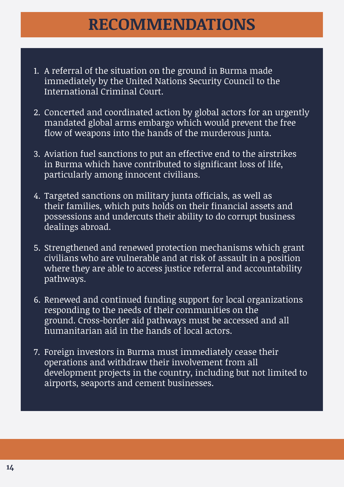## **RECOMMENDATIONS**

- 1. A referral of the situation on the ground in Burma made immediately by the United Nations Security Council to the International Criminal Court.
- 2. Concerted and coordinated action by global actors for an urgently mandated global arms embargo which would prevent the free flow of weapons into the hands of the murderous junta.
- 3. Aviation fuel sanctions to put an effective end to the airstrikes in Burma which have contributed to significant loss of life, particularly among innocent civilians.
- 4. Targeted sanctions on military junta officials, as well as their families, which puts holds on their financial assets and possessions and undercuts their ability to do corrupt business dealings abroad.
- 5. Strengthened and renewed protection mechanisms which grant civilians who are vulnerable and at risk of assault in a position where they are able to access justice referral and accountability pathways.
- 6. Renewed and continued funding support for local organizations responding to the needs of their communities on the ground. Cross-border aid pathways must be accessed and all humanitarian aid in the hands of local actors.
- 7. Foreign investors in Burma must immediately cease their operations and withdraw their involvement from all development projects in the country, including but not limited to airports, seaports and cement businesses.